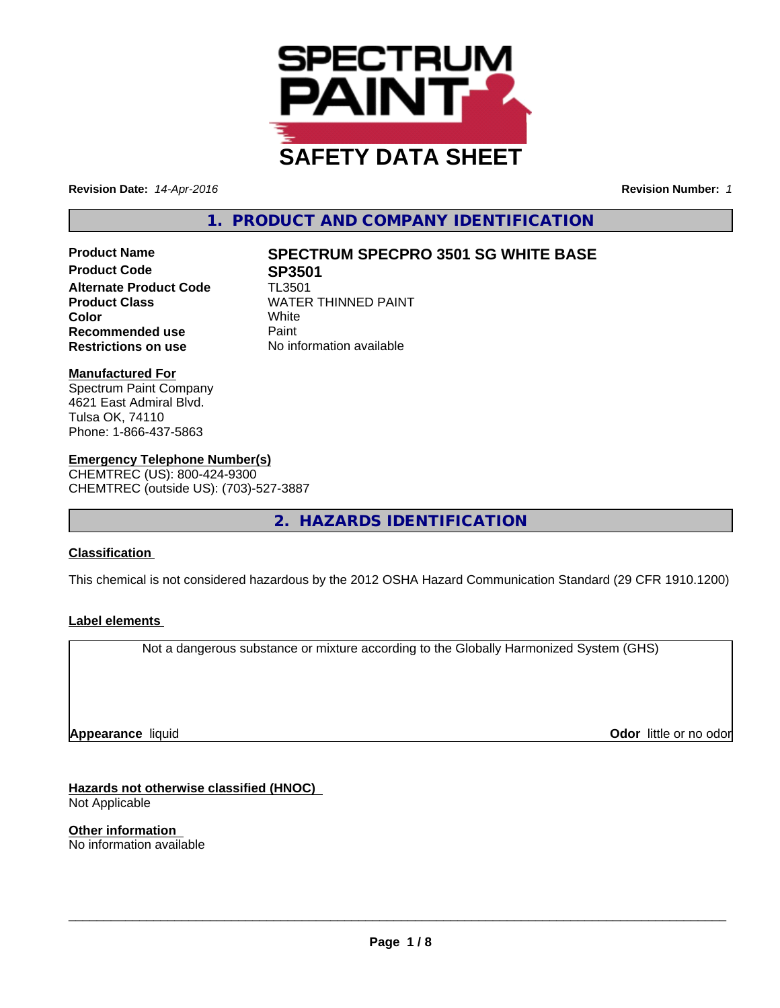

**Revision Date:** *14-Apr-2016* **Revision Number:** *1*

**1. PRODUCT AND COMPANY IDENTIFICATION**

**Product Code 5P3501<br>Alternate Product Code 7L3501 Alternate Product Code Recommended use** Paint **Restrictions on use** No information available

# **Product Name SPECTRUM SPECPRO 3501 SG WHITE BASE**

**Product Class** WATER THINNED PAINT<br> **Color** White **Color** White

#### **Manufactured For**

Spectrum Paint Company 4621 East Admiral Blvd. Tulsa OK, 74110 Phone: 1-866-437-5863

## **Emergency Telephone Number(s)**

CHEMTREC (US): 800-424-9300 CHEMTREC (outside US): (703)-527-3887

**2. HAZARDS IDENTIFICATION**

## **Classification**

This chemical is not considered hazardous by the 2012 OSHA Hazard Communication Standard (29 CFR 1910.1200)

### **Label elements**

Not a dangerous substance or mixture according to the Globally Harmonized System (GHS)

**Appearance** liquid

**Odor** little or no odor

**Hazards not otherwise classified (HNOC)** Not Applicable

**Other information** No information available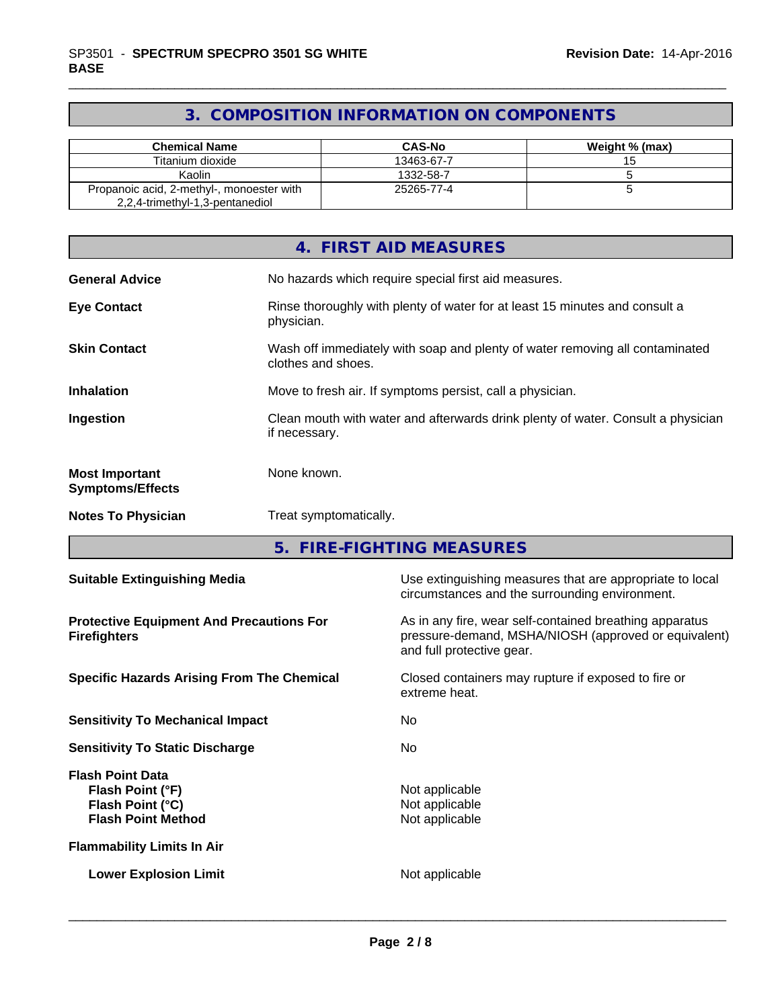## **3. COMPOSITION INFORMATION ON COMPONENTS**

| <b>Chemical Name</b>                                                         | <b>CAS-No</b> | Weight % (max) |
|------------------------------------------------------------------------------|---------------|----------------|
| Titanium dioxide                                                             | 13463-67-7    |                |
| Kaolin                                                                       | 1332-58-7     |                |
| Propanoic acid, 2-methyl-, monoester with<br>2,2,4-trimethyl-1,3-pentanediol | 25265-77-4    |                |

|                                                  | 4. FIRST AID MEASURES                                                                              |
|--------------------------------------------------|----------------------------------------------------------------------------------------------------|
| <b>General Advice</b>                            | No hazards which require special first aid measures.                                               |
| <b>Eye Contact</b>                               | Rinse thoroughly with plenty of water for at least 15 minutes and consult a<br>physician.          |
| <b>Skin Contact</b>                              | Wash off immediately with soap and plenty of water removing all contaminated<br>clothes and shoes. |
| <b>Inhalation</b>                                | Move to fresh air. If symptoms persist, call a physician.                                          |
| Ingestion                                        | Clean mouth with water and afterwards drink plenty of water. Consult a physician<br>if necessary.  |
| <b>Most Important</b><br><b>Symptoms/Effects</b> | None known.                                                                                        |
| <b>Notes To Physician</b>                        | Treat symptomatically.                                                                             |

**5. FIRE-FIGHTING MEASURES**

| <b>Suitable Extinguishing Media</b>                                                          | Use extinguishing measures that are appropriate to local<br>circumstances and the surrounding environment.                                   |
|----------------------------------------------------------------------------------------------|----------------------------------------------------------------------------------------------------------------------------------------------|
| <b>Protective Equipment And Precautions For</b><br><b>Firefighters</b>                       | As in any fire, wear self-contained breathing apparatus<br>pressure-demand, MSHA/NIOSH (approved or equivalent)<br>and full protective gear. |
| <b>Specific Hazards Arising From The Chemical</b>                                            | Closed containers may rupture if exposed to fire or<br>extreme heat.                                                                         |
| <b>Sensitivity To Mechanical Impact</b>                                                      | No.                                                                                                                                          |
| <b>Sensitivity To Static Discharge</b>                                                       | No.                                                                                                                                          |
| <b>Flash Point Data</b><br>Flash Point (°F)<br>Flash Point (°C)<br><b>Flash Point Method</b> | Not applicable<br>Not applicable<br>Not applicable                                                                                           |
| <b>Flammability Limits In Air</b>                                                            |                                                                                                                                              |
| <b>Lower Explosion Limit</b>                                                                 | Not applicable                                                                                                                               |
|                                                                                              |                                                                                                                                              |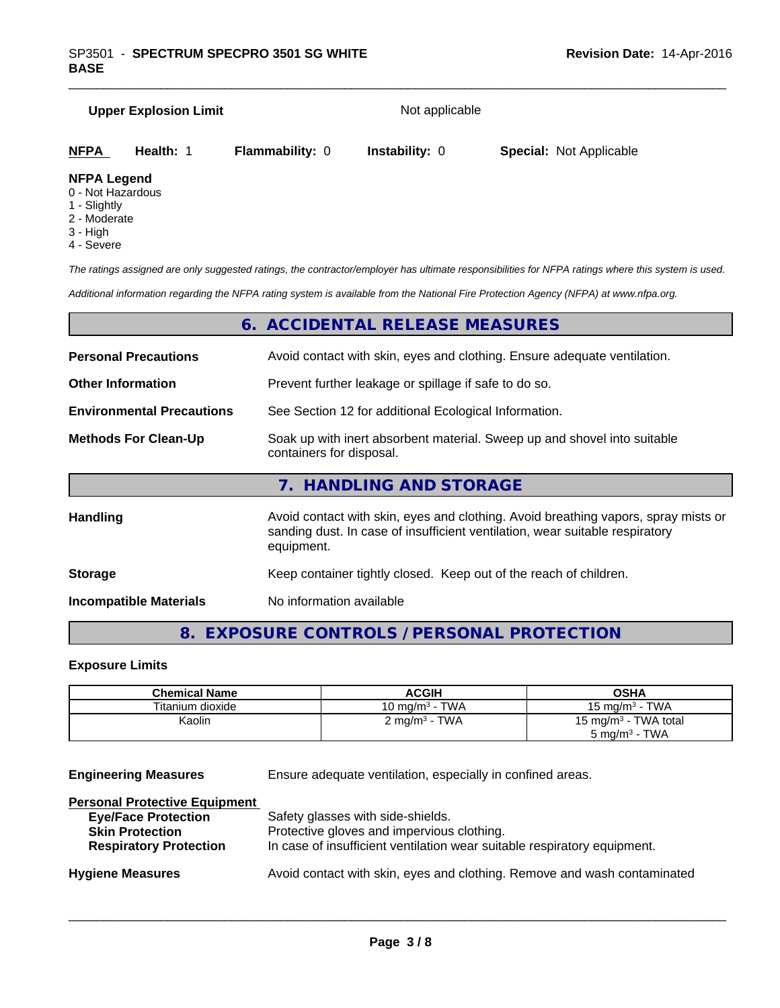## **Upper Explosion Limit** Not applicable *The ratings assigned are only suggested ratings, the contractor/employer has ultimate responsibilities for NFPA ratings where this system is used. Additional information regarding the NFPA rating system is available from the National Fire Protection Agency (NFPA) at www.nfpa.org.* **NFPA Health:** 1 **Flammability:** 0 **Instability:** 0 **Special:** Not Applicable **NFPA Legend** 0 - Not Hazardous 1 - Slightly 2 - Moderate 3 - High 4 - Severe

|                                  | 6. ACCIDENTAL RELEASE MEASURES                                                                                                                                                   |
|----------------------------------|----------------------------------------------------------------------------------------------------------------------------------------------------------------------------------|
| <b>Personal Precautions</b>      | Avoid contact with skin, eyes and clothing. Ensure adequate ventilation.                                                                                                         |
| <b>Other Information</b>         | Prevent further leakage or spillage if safe to do so.                                                                                                                            |
| <b>Environmental Precautions</b> | See Section 12 for additional Ecological Information.                                                                                                                            |
| <b>Methods For Clean-Up</b>      | Soak up with inert absorbent material. Sweep up and shovel into suitable<br>containers for disposal.                                                                             |
|                                  | 7. HANDLING AND STORAGE                                                                                                                                                          |
| <b>Handling</b>                  | Avoid contact with skin, eyes and clothing. Avoid breathing vapors, spray mists or<br>sanding dust. In case of insufficient ventilation, wear suitable respiratory<br>equipment. |
| <b>Storage</b>                   | Keep container tightly closed. Keep out of the reach of children.                                                                                                                |
| <b>Incompatible Materials</b>    | No information available                                                                                                                                                         |
|                                  |                                                                                                                                                                                  |

## **8. EXPOSURE CONTROLS / PERSONAL PROTECTION**

## **Exposure Limits**

| <b>Chemical Name</b> | ACGIH                    | OSHA                                                         |
|----------------------|--------------------------|--------------------------------------------------------------|
| Titanium dioxide     | 10 mg/m $3$ - TWA        | 15 mg/m $3$ - TWA                                            |
| Kaolin               | $2 \text{ mq/m}^3$ - TWA | 15 mg/m <sup>3</sup> - TWA total<br>$5 \text{ mg/m}^3$ - TWA |

**Engineering Measures** Ensure adequate ventilation, especially in confined areas.

| <b>Personal Protective Equipment</b>                                     |
|--------------------------------------------------------------------------|
| Safety glasses with side-shields.                                        |
| Protective gloves and impervious clothing.                               |
| In case of insufficient ventilation wear suitable respiratory equipment. |
| Avoid contact with skin, eyes and clothing. Remove and wash contaminated |
|                                                                          |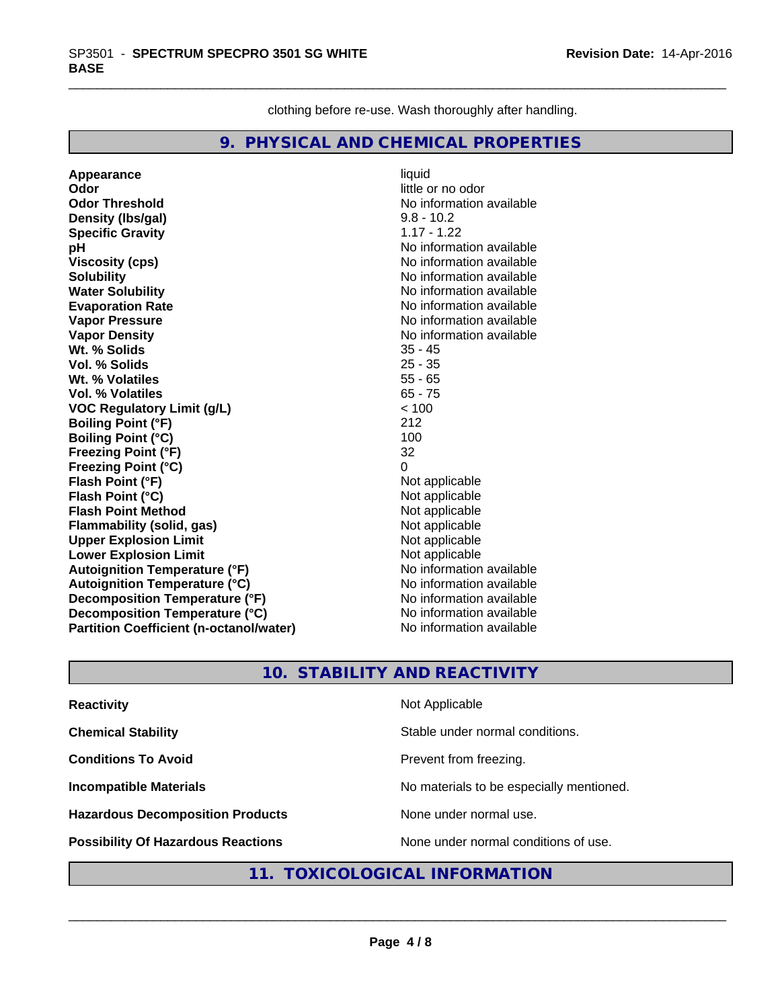clothing before re-use. Wash thoroughly after handling.

## **9. PHYSICAL AND CHEMICAL PROPERTIES**

**Appearance** liquid **Odor**<br> **Odor Threshold**<br> **Odor Threshold**<br> **Odor Threshold**<br> **Odor Density (Ibs/gal)** 9.8 - 10.2 **Specific Gravity** 1.17 - 1.22 **pH** No information available **Viscosity (cps)** No information available Notice 1, 1999 **Solubility** No information available **Water Solubility No information available No information available Evaporation Rate** Note 2008 and 2009 No information available **Vapor Pressure** No information available **Vapor Density No information available No information available Wt. % Solids** 35 - 45 **Vol. % Solids Wt. % Volatiles** 55 - 65 **Vol. % Volatiles** 65 - 75 **VOC Regulatory Limit (g/L)** < 100 **Boiling Point (°F)** 212 **Boiling Point (°C)** 100 **Freezing Point (°F)** 32 **Freezing Point (°C)** 0 **Flash Point (°F)** Not applicable **Flash Point (°C)**<br> **Flash Point Method**<br> **Flash Point Method**<br> **Point Method**<br> **Point Method**<br> **Point Method Flash Point Method**<br> **Flammability (solid, gas)** Not applicable Not applicable **Flammability (solid, gas)** Not applicable<br> **Upper Explosion Limit** Not applicable **Upper Explosion Limit Lower Explosion Limit**<br> **Autoignition Temperature (°F)**<br> **Autoignition Temperature (°F)**<br> **Autoignition Temperature (°F) Autoignition Temperature (°F) Autoignition Temperature (°C)** No information available **Decomposition Temperature (°F)** No information available **Decomposition Temperature (°C)** No information available **Partition Coefficient (n-octanol/water)** No information available

**No information available** 

## **10. STABILITY AND REACTIVITY**

| <b>Reactivity</b>                         | Not Applicable                           |
|-------------------------------------------|------------------------------------------|
| <b>Chemical Stability</b>                 | Stable under normal conditions.          |
| <b>Conditions To Avoid</b>                | Prevent from freezing.                   |
| <b>Incompatible Materials</b>             | No materials to be especially mentioned. |
| <b>Hazardous Decomposition Products</b>   | None under normal use.                   |
| <b>Possibility Of Hazardous Reactions</b> | None under normal conditions of use.     |

## **11. TOXICOLOGICAL INFORMATION**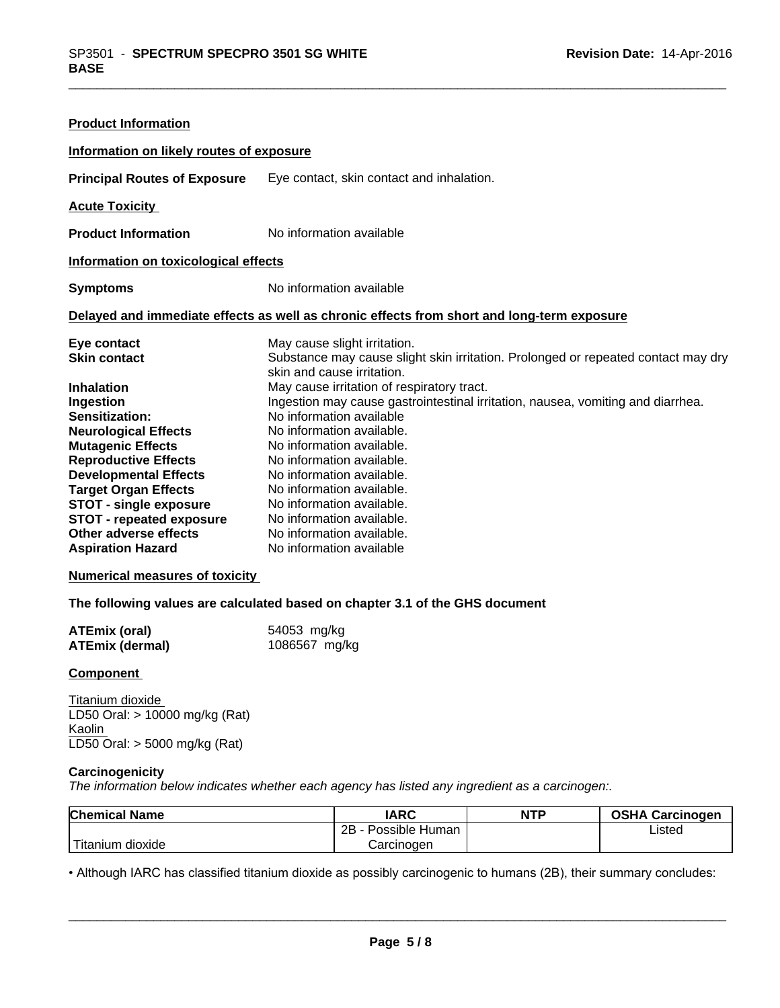| <b>Product Information</b>                                                                                                                                                                                                                                                                                                                                               |                                                                                                                                                                                                                                                                                                                                                                                                                                                                                                                                                                                  |  |  |
|--------------------------------------------------------------------------------------------------------------------------------------------------------------------------------------------------------------------------------------------------------------------------------------------------------------------------------------------------------------------------|----------------------------------------------------------------------------------------------------------------------------------------------------------------------------------------------------------------------------------------------------------------------------------------------------------------------------------------------------------------------------------------------------------------------------------------------------------------------------------------------------------------------------------------------------------------------------------|--|--|
| Information on likely routes of exposure                                                                                                                                                                                                                                                                                                                                 |                                                                                                                                                                                                                                                                                                                                                                                                                                                                                                                                                                                  |  |  |
| <b>Principal Routes of Exposure</b>                                                                                                                                                                                                                                                                                                                                      | Eye contact, skin contact and inhalation.                                                                                                                                                                                                                                                                                                                                                                                                                                                                                                                                        |  |  |
| <b>Acute Toxicity</b>                                                                                                                                                                                                                                                                                                                                                    |                                                                                                                                                                                                                                                                                                                                                                                                                                                                                                                                                                                  |  |  |
| <b>Product Information</b>                                                                                                                                                                                                                                                                                                                                               | No information available                                                                                                                                                                                                                                                                                                                                                                                                                                                                                                                                                         |  |  |
| Information on toxicological effects                                                                                                                                                                                                                                                                                                                                     |                                                                                                                                                                                                                                                                                                                                                                                                                                                                                                                                                                                  |  |  |
| <b>Symptoms</b>                                                                                                                                                                                                                                                                                                                                                          | No information available                                                                                                                                                                                                                                                                                                                                                                                                                                                                                                                                                         |  |  |
| Delayed and immediate effects as well as chronic effects from short and long-term exposure                                                                                                                                                                                                                                                                               |                                                                                                                                                                                                                                                                                                                                                                                                                                                                                                                                                                                  |  |  |
| Eye contact<br><b>Skin contact</b><br><b>Inhalation</b><br>Ingestion<br>Sensitization:<br><b>Neurological Effects</b><br><b>Mutagenic Effects</b><br><b>Reproductive Effects</b><br><b>Developmental Effects</b><br><b>Target Organ Effects</b><br><b>STOT - single exposure</b><br><b>STOT - repeated exposure</b><br>Other adverse effects<br><b>Aspiration Hazard</b> | May cause slight irritation.<br>Substance may cause slight skin irritation. Prolonged or repeated contact may dry<br>skin and cause irritation.<br>May cause irritation of respiratory tract.<br>Ingestion may cause gastrointestinal irritation, nausea, vomiting and diarrhea.<br>No information available<br>No information available.<br>No information available.<br>No information available.<br>No information available.<br>No information available.<br>No information available.<br>No information available.<br>No information available.<br>No information available |  |  |

#### **Numerical measures of toxicity**

**The following values are calculated based on chapter 3.1 of the GHS document**

| <b>ATEmix (oral)</b>   | 54053 mg/kg   |
|------------------------|---------------|
| <b>ATEmix (dermal)</b> | 1086567 mg/kg |

#### **Component**

Titanium dioxide LD50 Oral: > 10000 mg/kg (Rat) **Kaolin** LD50 Oral: > 5000 mg/kg (Rat)

#### **Carcinogenicity**

*The information below indicateswhether each agency has listed any ingredient as a carcinogen:.*

| <b>Chemical Name</b> | <b>IARC</b>          | <b>NTP</b> | <b>OSHA Carcinogen</b> |
|----------------------|----------------------|------------|------------------------|
|                      | Possible Human<br>2B |            | Listed                 |
| 'Titanium<br>dioxide | Carcinogen           |            |                        |

• Although IARC has classified titanium dioxide as possibly carcinogenic to humans (2B), their summary concludes:<br> **Page 5/8**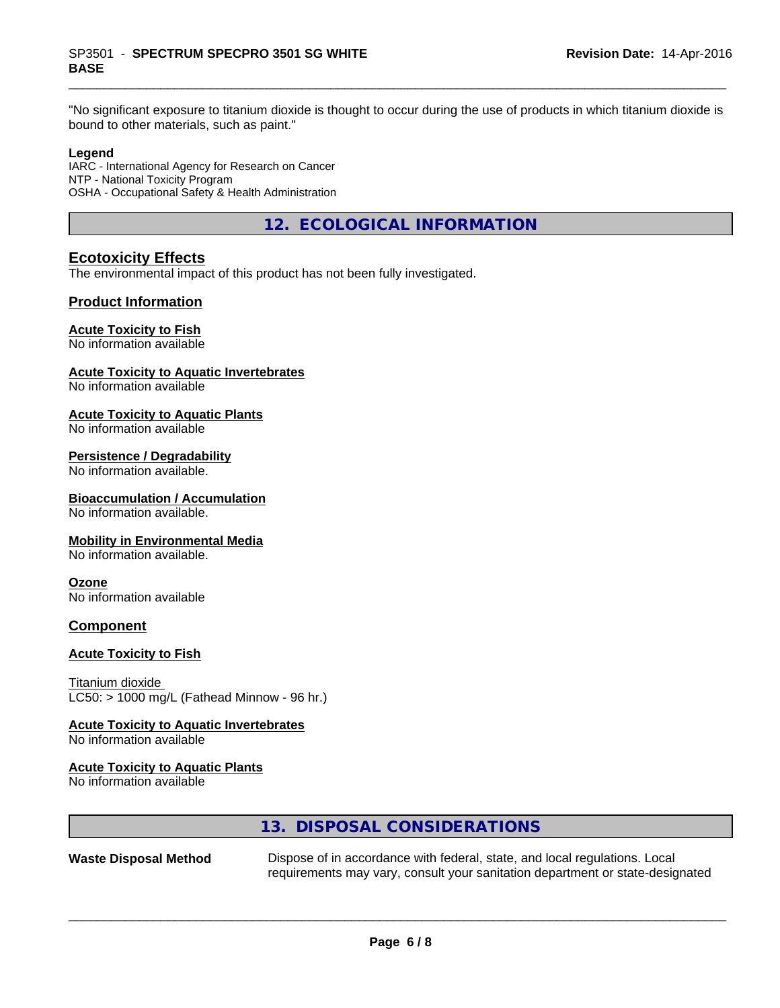"No significant exposure to titanium dioxide is thought to occur during the use of products in which titanium dioxide is bound to other materials, such as paint."

#### **Legend**

IARC - International Agency for Research on Cancer NTP - National Toxicity Program OSHA - Occupational Safety & Health Administration

**12. ECOLOGICAL INFORMATION**

## **Ecotoxicity Effects**

The environmental impact of this product has not been fully investigated.

### **Product Information**

#### **Acute Toxicity to Fish**

No information available

#### **Acute Toxicity to Aquatic Invertebrates**

No information available

#### **Acute Toxicity to Aquatic Plants**

No information available

## **Persistence / Degradability**

No information available.

#### **Bioaccumulation / Accumulation**

No information available.

#### **Mobility in Environmental Media**

No information available.

#### **Ozone**

No information available

#### **Component**

#### **Acute Toxicity to Fish**

Titanium dioxide  $LC50:$  > 1000 mg/L (Fathead Minnow - 96 hr.)

#### **Acute Toxicity to Aquatic Invertebrates**

No information available

#### **Acute Toxicity to Aquatic Plants**

No information available

### **13. DISPOSAL CONSIDERATIONS**

**Waste Disposal Method** Dispose of in accordance with federal, state, and local regulations. Local requirements may vary, consult your sanitation department or state-designated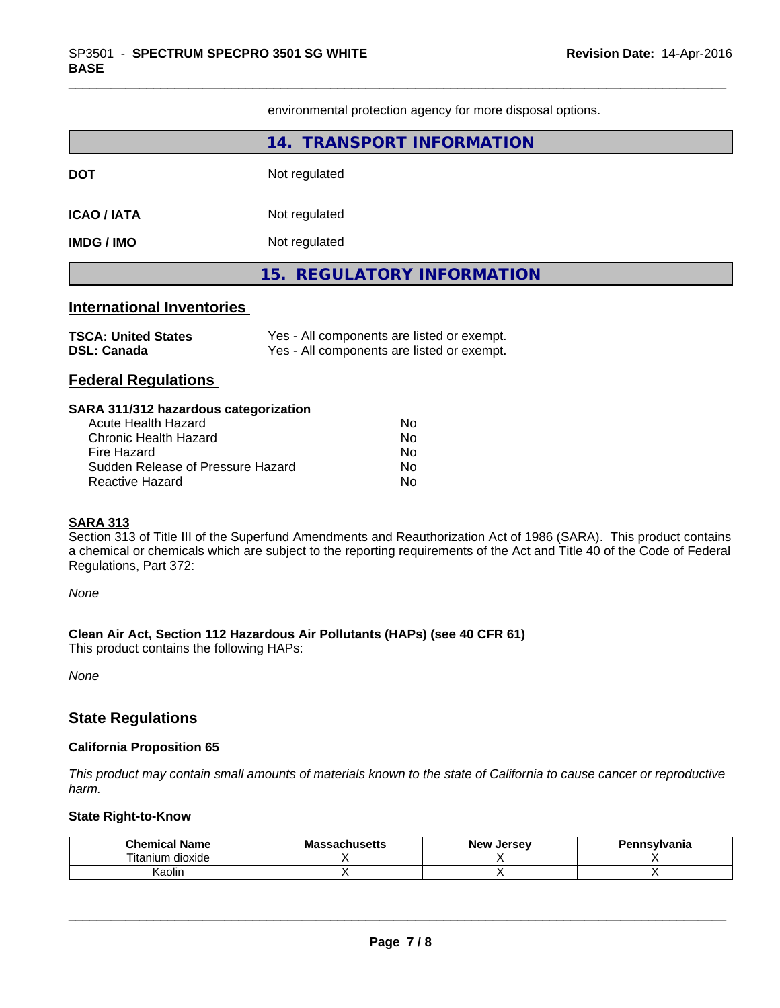environmental protection agency for more disposal options.

|                                                  | 14. TRANSPORT INFORMATION                                                                |  |
|--------------------------------------------------|------------------------------------------------------------------------------------------|--|
| DOT                                              | Not regulated                                                                            |  |
| <b>ICAO / IATA</b>                               | Not regulated                                                                            |  |
| IMDG / IMO                                       | Not regulated                                                                            |  |
|                                                  | 15. REGULATORY INFORMATION                                                               |  |
| <b>International Inventories</b>                 |                                                                                          |  |
| <b>TSCA: United States</b><br><b>DSL: Canada</b> | Yes - All components are listed or exempt.<br>Yes - All components are listed or exempt. |  |
| <b>Federal Regulations</b>                       |                                                                                          |  |
| SARA 311/312 hazardous categorization            |                                                                                          |  |

| Acute Health Hazard               | Nο |
|-----------------------------------|----|
| Chronic Health Hazard             | N٥ |
| Fire Hazard                       | Nο |
| Sudden Release of Pressure Hazard | N٥ |
| Reactive Hazard                   | Nο |

#### **SARA 313**

Section 313 of Title III of the Superfund Amendments and Reauthorization Act of 1986 (SARA). This product contains a chemical or chemicals which are subject to the reporting requirements of the Act and Title 40 of the Code of Federal Regulations, Part 372:

*None*

**Clean Air Act,Section 112 Hazardous Air Pollutants (HAPs) (see 40 CFR 61)**

This product contains the following HAPs:

*None*

## **State Regulations**

#### **California Proposition 65**

This product may contain small amounts of materials known to the state of California to cause cancer or reproductive *harm.*

#### **State Right-to-Know**

| .<br>Chemical<br>Name | Massachusetts | . Jersev<br><b>New</b> | ennsvlvania |
|-----------------------|---------------|------------------------|-------------|
| ⊦dioxide<br>ı itanıum |               |                        |             |
| .<br>Kaolin           |               |                        |             |